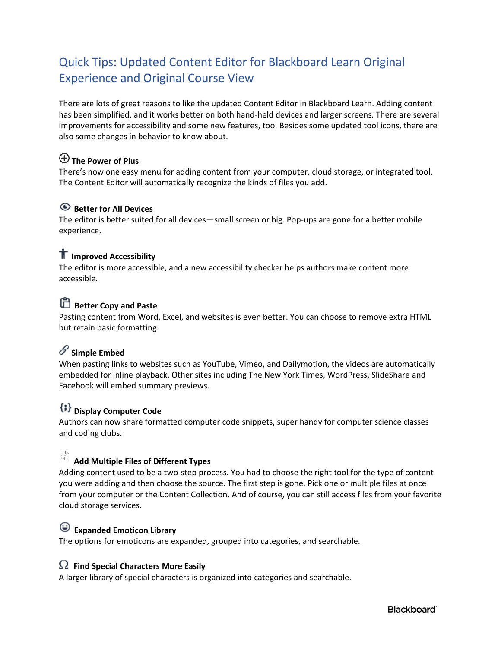# Quick Tips: Updated Content Editor for Blackboard Learn Original Experience and Original Course View

There are lots of great reasons to like the updated Content Editor in Blackboard Learn. Adding content has been simplified, and it works better on both hand-held devices and larger screens. There are several improvements for accessibility and some new features, too. Besides some updated tool icons, there are also some changes in behavior to know about.

## **The Power of Plus**

There's now one easy menu for adding content from your computer, cloud storage, or integrated tool. The Content Editor will automatically recognize the kinds of files you add.

## **Better for All Devices**

The editor is better suited for all devices—small screen or big. Pop-ups are gone for a better mobile experience.

## **IT** Improved Accessibility

The editor is more accessible, and a new accessibility checker helps authors make content more accessible.

# **Better Copy and Paste**

Pasting content from Word, Excel, and websites is even better. You can choose to remove extra HTML but retain basic formatting.

# **Simple Embed**

When pasting links to websites such as YouTube, Vimeo, and Dailymotion, the videos are automatically embedded for inline playback. Other sites including The New York Times, WordPress, SlideShare and Facebook will embed summary previews.

# **Display Computer Code**

Authors can now share formatted computer code snippets, super handy for computer science classes and coding clubs.

# **Add Multiple Files of Different Types**

Adding content used to be a two-step process. You had to choose the right tool for the type of content you were adding and then choose the source. The first step is gone. Pick one or multiple files at once from your computer or the Content Collection. And of course, you can still access files from your favorite cloud storage services.

## **Expanded Emoticon Library**

The options for emoticons are expanded, grouped into categories, and searchable.

## **Find Special Characters More Easily**

A larger library of special characters is organized into categories and searchable.